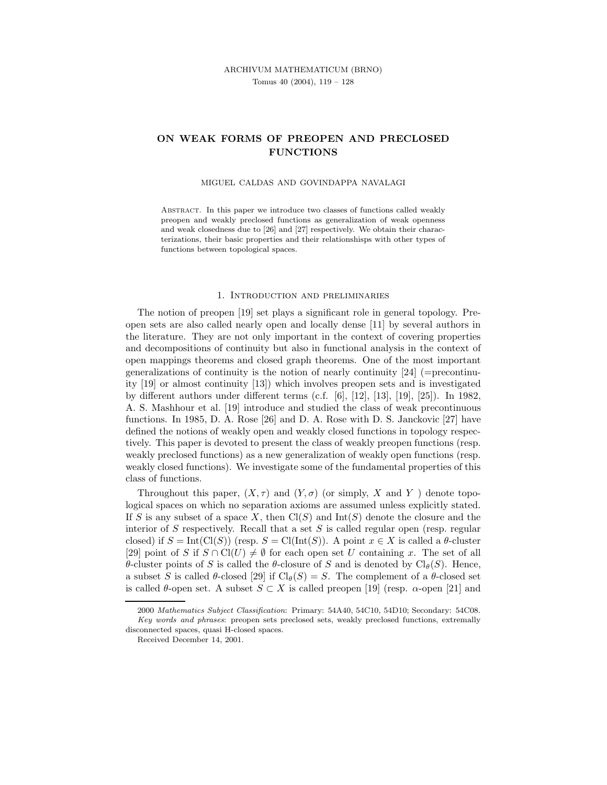## ARCHIVUM MATHEMATICUM (BRNO) Tomus 40 (2004), 119 – 128

# ON WEAK FORMS OF PREOPEN AND PRECLOSED **FUNCTIONS**

#### MIGUEL CALDAS AND GOVINDAPPA NAVALAGI

Abstract. In this paper we introduce two classes of functions called weakly preopen and weakly preclosed functions as generalization of weak openness and weak closedness due to [26] and [27] respectively. We obtain their characterizations, their basic properties and their relationshisps with other types of functions between topological spaces.

### 1. Introduction and preliminaries

The notion of preopen [19] set plays a significant role in general topology. Preopen sets are also called nearly open and locally dense [11] by several authors in the literature. They are not only important in the context of covering properties and decompositions of continuity but also in functional analysis in the context of open mappings theorems and closed graph theorems. One of the most important generalizations of continuity is the notion of nearly continuity  $[24]$  (=precontinuity [19] or almost continuity [13]) which involves preopen sets and is investigated by different authors under different terms (c.f. [6], [12], [13], [19], [25]). In 1982, A. S. Mashhour et al. [19] introduce and studied the class of weak precontinuous functions. In 1985, D. A. Rose [26] and D. A. Rose with D. S. Janckovic [27] have defined the notions of weakly open and weakly closed functions in topology respectively. This paper is devoted to present the class of weakly preopen functions (resp. weakly preclosed functions) as a new generalization of weakly open functions (resp. weakly closed functions). We investigate some of the fundamental properties of this class of functions.

Throughout this paper,  $(X, \tau)$  and  $(Y, \sigma)$  (or simply, X and Y) denote topological spaces on which no separation axioms are assumed unless explicitly stated. If S is any subset of a space X, then  $Cl(S)$  and  $Int(S)$  denote the closure and the interior of  $S$  respectively. Recall that a set  $S$  is called regular open (resp. regular closed) if  $S = \text{Int}(\text{Cl}(S))$  (resp.  $S = \text{Cl}(\text{Int}(S))$ ). A point  $x \in X$  is called a  $\theta$ -cluster [29] point of S if  $S \cap \mathrm{Cl}(U) \neq \emptyset$  for each open set U containing x. The set of all θ-cluster points of S is called the θ-closure of S and is denoted by  $Cl_{\theta}(S)$ . Hence, a subset S is called  $\theta$ -closed [29] if Cl $_{\theta}(S) = S$ . The complement of a  $\theta$ -closed set is called  $\theta$ -open set. A subset  $S \subset X$  is called preopen [19] (resp.  $\alpha$ -open [21] and

<sup>2000</sup> Mathematics Subject Classification: Primary: 54A40, 54C10, 54D10; Secondary: 54C08. Key words and phrases: preopen sets preclosed sets, weakly preclosed functions, extremally disconnected spaces, quasi H-closed spaces.

Received December 14, 2001.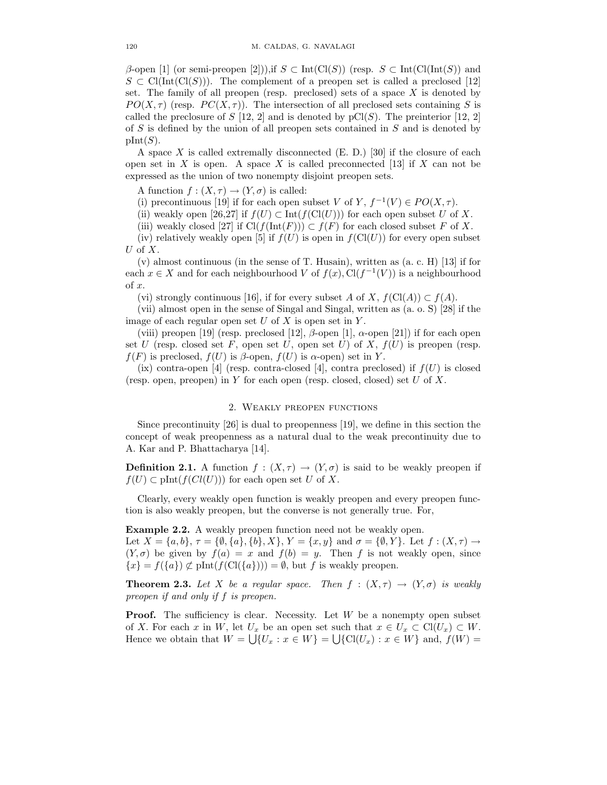$\beta$ -open [1] (or semi-preopen [2])),if  $S \subset \text{Int}(\text{Cl}(S))$  (resp.  $S \subset \text{Int}(\text{Cl}(\text{Int}(S)))$  and  $S \subset \text{Cl}(\text{Int}(\text{Cl}(S)))$ . The complement of a preopen set is called a preclosed [12] set. The family of all preopen (resp. preclosed) sets of a space  $X$  is denoted by  $PO(X, \tau)$  (resp.  $PC(X, \tau)$ ). The intersection of all preclosed sets containing S is called the preclosure of S [12, 2] and is denoted by  $pCl(S)$ . The preinterior [12, 2] of S is defined by the union of all preopen sets contained in S and is denoted by  $\text{pInt}(S)$ .

A space  $X$  is called extremally disconnected  $(E. D.)$  [30] if the closure of each open set in X is open. A space X is called preconnected  $[13]$  if X can not be expressed as the union of two nonempty disjoint preopen sets.

A function  $f : (X, \tau) \to (Y, \sigma)$  is called:

(i) precontinuous [19] if for each open subset V of Y,  $f^{-1}(V) \in PO(X, \tau)$ .

(ii) weakly open [26,27] if  $f(U) \subset \text{Int}(f(\text{Cl}(U)))$  for each open subset U of X.

(iii) weakly closed [27] if  $Cl(f(\text{Int}(F))) \subset f(F)$  for each closed subset F of X.

(iv) relatively weakly open [5] if  $f(U)$  is open in  $f(\text{Cl}(U))$  for every open subset U of  $X$ .

 $(v)$  almost continuous (in the sense of T. Husain), written as  $(a, c, H)$  [13] if for each  $x \in X$  and for each neighbourhood V of  $f(x)$ ,  $Cl(f^{-1}(V))$  is a neighbourhood of  $x$ .

(vi) strongly continuous [16], if for every subset A of X,  $f(\text{Cl}(A)) \subset f(A)$ .

(vii) almost open in the sense of Singal and Singal, written as (a. o. S) [28] if the image of each regular open set  $U$  of  $X$  is open set in  $Y$ .

(viii) preopen [19] (resp. preclosed [12],  $\beta$ -open [1],  $\alpha$ -open [21]) if for each open set U (resp. closed set F, open set U, open set U) of X,  $f(U)$  is preopen (resp.  $f(F)$  is preclosed,  $f(U)$  is  $\beta$ -open,  $f(U)$  is  $\alpha$ -open) set in Y.

(ix) contra-open [4] (resp. contra-closed [4], contra preclosed) if  $f(U)$  is closed (resp. open, preopen) in Y for each open (resp. closed, closed) set  $U$  of  $X$ .

## 2. Weakly preopen functions

Since precontinuity [26] is dual to preopenness [19], we define in this section the concept of weak preopenness as a natural dual to the weak precontinuity due to A. Kar and P. Bhattacharya [14].

**Definition 2.1.** A function  $f : (X, \tau) \to (Y, \sigma)$  is said to be weakly preopen if  $f(U) \subset \text{plnt}(f(Cl(U)))$  for each open set U of X.

Clearly, every weakly open function is weakly preopen and every preopen function is also weakly preopen, but the converse is not generally true. For,

Example 2.2. A weakly preopen function need not be weakly open.

Let  $X = \{a, b\}, \tau = \{\emptyset, \{a\}, \{b\}, X\}, Y = \{x, y\}$  and  $\sigma = \{\emptyset, Y\}.$  Let  $f : (X, \tau) \to$  $(Y, \sigma)$  be given by  $f(a) = x$  and  $f(b) = y$ . Then f is not weakly open, since  $\{x\} = f(\{a\}) \not\subset \text{plnt}(f(\text{Cl}(\{a\}))) = \emptyset$ , but f is weakly preopen.

**Theorem 2.3.** Let X be a regular space. Then  $f : (X, \tau) \rightarrow (Y, \sigma)$  is weakly preopen if and only if f is preopen.

**Proof.** The sufficiency is clear. Necessity. Let  $W$  be a nonempty open subset of X. For each x in W, let  $U_x$  be an open set such that  $x \in U_x \subset \mathrm{Cl}(U_x) \subset W$ . Hence we obtain that  $W = \bigcup \{U_x : x \in W\} = \bigcup \{\text{Cl}(U_x) : x \in W\}$  and,  $f(W) =$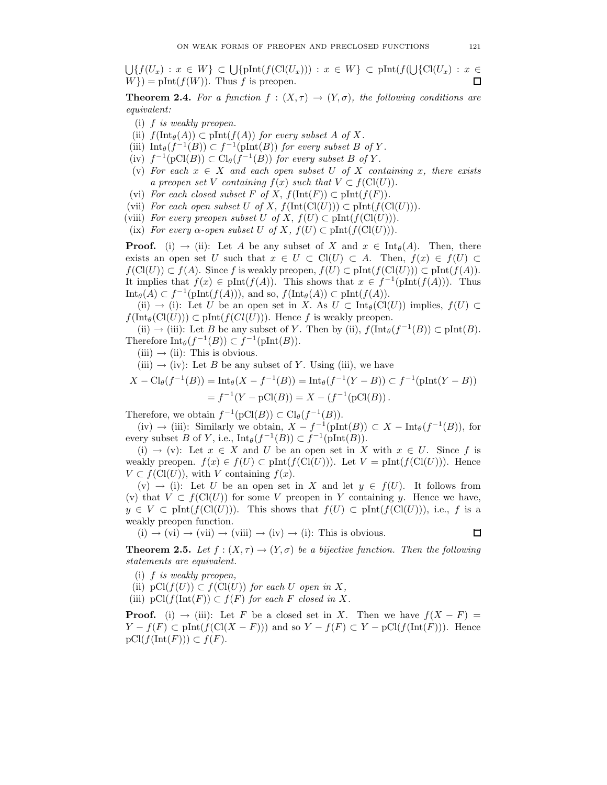$\bigcup \{f(U_x) : x \in W\} \subset \bigcup \{\text{plnt}(f(\text{Cl}(U_x))) : x \in W\} \subset \text{plnt}(f(\bigcup \{\text{Cl}(U_x) : x \in W\})\)$  $W$ }) = pInt( $f(W)$ ). Thus f is preopen. 口

**Theorem 2.4.** For a function  $f : (X, \tau) \to (Y, \sigma)$ , the following conditions are equivalent:

- (i) f is weakly preopen.
- (ii)  $f(\text{Int}_{\theta}(A)) \subset \text{plnt}(f(A))$  for every subset A of X.
- (iii)  $\text{Int}_{\theta}(f^{-1}(B)) \subset f^{-1}(\text{pInt}(B))$  for every subset B of Y.
- (iv)  $f^{-1}(\text{pCl}(B)) \subset \text{Cl}_{\theta}(f^{-1}(B))$  for every subset B of Y.
- (v) For each  $x \in X$  and each open subset U of X containing x, there exists a preopen set V containing  $f(x)$  such that  $V \subset f(\text{Cl}(U))$ .
- (vi) For each closed subset F of X,  $f(\text{Int}(F)) \subset \text{plnt}(f(F)).$
- (vii) For each open subset U of X,  $f(\text{Int}(\text{Cl}(U))) \subset \text{pInt}(f(\text{Cl}(U))).$
- (viii) For every preopen subset U of X,  $f(U) \subset \text{plnt}(f(\text{Cl}(U))).$
- (ix) For every  $\alpha$ -open subset U of X,  $f(U) \subset \text{plnt}(f(\text{Cl}(U))).$

**Proof.** (i)  $\rightarrow$  (ii): Let A be any subset of X and  $x \in \text{Int}_{\theta}(A)$ . Then, there exists an open set U such that  $x \in U \subset \text{Cl}(U) \subset A$ . Then,  $f(x) \in f(U) \subset A$  $f(\text{Cl}(U)) \subset f(A)$ . Since f is weakly preopen,  $f(U) \subset \text{plnt}(f(\text{Cl}(U))) \subset \text{plnt}(f(A))$ . It implies that  $f(x) \in \text{plnt}(f(A))$ . This shows that  $x \in f^{-1}(\text{plnt}(f(A)))$ . Thus  $\text{Int}_{\theta}(A) \subset f^{-1}(\text{plnt}(f(A))),$  and so,  $f(\text{Int}_{\theta}(A)) \subset \text{plnt}(f(A)).$ 

(ii)  $\rightarrow$  (i): Let U be an open set in X. As  $U \subset \text{Int}_{\theta}(\text{Cl}(U))$  implies,  $f(U) \subset$  $f(\text{Int}_{\theta}(\text{Cl}(U))) \subset \text{plnt}(f(\text{Cl}(U))).$  Hence f is weakly preopen.

(ii)  $\rightarrow$  (iii): Let B be any subset of Y. Then by (ii),  $f(\text{Int}_{\theta}(f^{-1}(B)) \subset \text{plnt}(B))$ . Therefore  $\text{Int}_{\theta}(f^{-1}(B)) \subset f^{-1}(\text{plnt}(B)).$ 

 $(iii) \rightarrow (ii)$ : This is obvious.

(iii)  $\rightarrow$  (iv): Let B be any subset of Y. Using (iii), we have

$$
X - \text{Cl}_{\theta}(f^{-1}(B)) = \text{Int}_{\theta}(X - f^{-1}(B)) = \text{Int}_{\theta}(f^{-1}(Y - B)) \subset f^{-1}(\text{pInt}(Y - B))
$$
  
=  $f^{-1}(Y - \text{pCl}(B)) = X - (f^{-1}(\text{pCl}(B))).$ 

Therefore, we obtain  $f^{-1}(pCl(B)) \subset Cl_{\theta}(f^{-1}(B)).$ 

(iv)  $\rightarrow$  (iii): Similarly we obtain,  $X - f^{-1}(\text{pInt}(B)) \subset X - \text{Int}_{\theta}(f^{-1}(B)),$  for every subset B of Y, i.e.,  $\text{Int}_{\theta}(f^{-1}(B)) \subset f^{-1}(\text{pInt}(B)).$ 

(i)  $\rightarrow$  (v): Let  $x \in X$  and U be an open set in X with  $x \in U$ . Since f is weakly preopen.  $f(x) \in f(U) \subset \text{plnt}(f(\text{Cl}(U)))$ . Let  $V = \text{plnt}(f(\text{Cl}(U)))$ . Hence  $V \subset f(Cl(U))$ , with V containing  $f(x)$ .

 $(v) \rightarrow (i)$ : Let U be an open set in X and let  $y \in f(U)$ . It follows from (v) that  $V \subset f(Cl(U))$  for some V preopen in Y containing y. Hence we have,  $y \in V \subset \text{plnt}(f(\text{Cl}(U))).$  This shows that  $f(U) \subset \text{plnt}(f(\text{Cl}(U))),$  i.e., f is a weakly preopen function.

 $(i) \rightarrow (vi) \rightarrow (vii) \rightarrow (viii) \rightarrow (iv) \rightarrow (i)$ : This is obvious.

 $\Box$ 

**Theorem 2.5.** Let  $f : (X, \tau) \to (Y, \sigma)$  be a bijective function. Then the following statements are equivalent.

- (i) f is weakly preopen,
- (ii)  $pCl(f(U)) \subset f(Cl(U))$  for each U open in X,
- (iii) pCl( $f(\text{Int}(F)) \subset f(F)$  for each F closed in X.

**Proof.** (i)  $\rightarrow$  (iii): Let F be a closed set in X. Then we have  $f(X - F) =$  $Y - f(F) \subset \text{plnt}(f(\text{Cl}(X - F)))$  and so  $Y - f(F) \subset Y - \text{pCl}(f(\text{Int}(F)))$ . Hence  $pCl(f(\text{Int}(F))) \subset f(F)$ .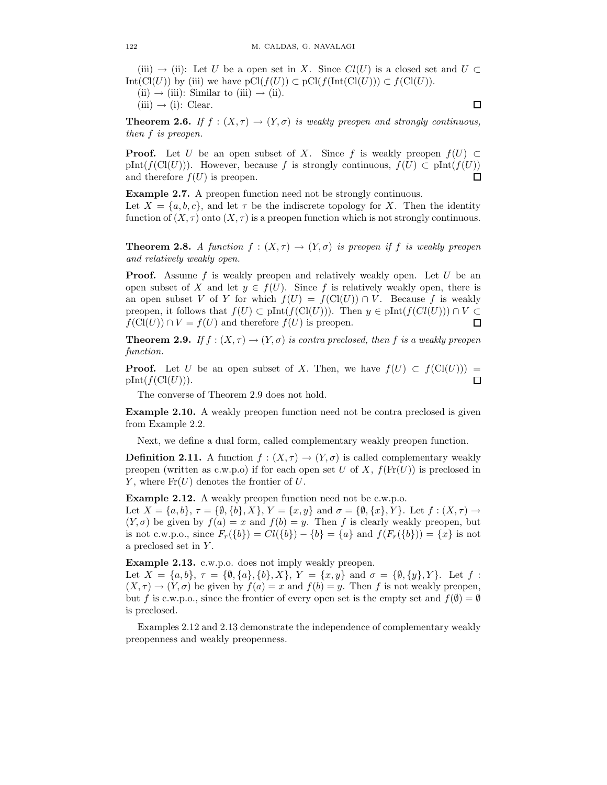(iii)  $\rightarrow$  (ii): Let U be a open set in X. Since  $Cl(U)$  is a closed set and  $U \subset$ Int(Cl(U)) by (iii) we have  $pCl(f(U)) \subset pCl(f(\text{Int}(Cl(U))) \subset f(Cl(U)).$ 

(ii)  $\rightarrow$  (iii): Similar to (iii)  $\rightarrow$  (ii).

 $(iii) \rightarrow (i): \text{Clear.}$ 

 $\Box$ 

**Theorem 2.6.** If  $f : (X, \tau) \to (Y, \sigma)$  is weakly preopen and strongly continuous, then f is preopen.

**Proof.** Let U be an open subset of X. Since f is weakly preopen  $f(U) \subset$ pInt(f(Cl(U))). However, because f is strongly continuous,  $f(U) \subset \text{plnt}(f(U))$ □ and therefore  $f(U)$  is preopen.

Example 2.7. A preopen function need not be strongly continuous. Let  $X = \{a, b, c\}$ , and let  $\tau$  be the indiscrete topology for X. Then the identity function of  $(X, \tau)$  onto  $(X, \tau)$  is a preopen function which is not strongly continuous.

**Theorem 2.8.** A function  $f : (X, \tau) \to (Y, \sigma)$  is preopen if f is weakly preopen and relatively weakly open.

**Proof.** Assume f is weakly preopen and relatively weakly open. Let  $U$  be an open subset of X and let  $y \in f(U)$ . Since f is relatively weakly open, there is an open subset V of Y for which  $f(U) = f(\text{Cl}(U)) \cap V$ . Because f is weakly preopen, it follows that  $f(U) \subset \text{plnt}(f(\text{Cl}(U)))$ . Then  $y \in \text{plnt}(f(\text{Cl}(U))) \cap V \subset$  $f(\text{Cl}(U)) \cap V = f(U)$  and therefore  $f(U)$  is preopen. п

**Theorem 2.9.** If  $f : (X, \tau) \to (Y, \sigma)$  is contra preclosed, then f is a weakly preopen function.

**Proof.** Let U be an open subset of X. Then, we have  $f(U) \subset f(\text{Cl}(U)))$  =  $pInt(f(Cl(U))).$  $\Box$ 

The converse of Theorem 2.9 does not hold.

Example 2.10. A weakly preopen function need not be contra preclosed is given from Example 2.2.

Next, we define a dual form, called complementary weakly preopen function.

**Definition 2.11.** A function  $f : (X, \tau) \to (Y, \sigma)$  is called complementary weakly preopen (written as c.w.p.o) if for each open set U of X,  $f(\text{Fr}(U))$  is preclosed in Y, where  $\text{Fr}(U)$  denotes the frontier of U.

Example 2.12. A weakly preopen function need not be c.w.p.o.

Let  $X = \{a, b\}, \tau = \{\emptyset, \{b\}, X\}, Y = \{x, y\}$  and  $\sigma = \{\emptyset, \{x\}, Y\}.$  Let  $f : (X, \tau) \to$  $(Y, \sigma)$  be given by  $f(a) = x$  and  $f(b) = y$ . Then f is clearly weakly preopen, but is not c.w.p.o., since  $F_r({b}) = Cl({b}) - {b} = {a}$  and  $f(F_r({b})) = {x}$  is not a preclosed set in Y .

Example 2.13. c.w.p.o. does not imply weakly preopen.

Let  $X = \{a, b\}, \tau = \{\emptyset, \{a\}, \{b\}, X\}, Y = \{x, y\}$  and  $\sigma = \{\emptyset, \{y\}, Y\}.$  Let  $f$ :  $(X, \tau) \to (Y, \sigma)$  be given by  $f(a) = x$  and  $f(b) = y$ . Then f is not weakly preopen, but f is c.w.p.o., since the frontier of every open set is the empty set and  $f(\emptyset) = \emptyset$ is preclosed.

Examples 2.12 and 2.13 demonstrate the independence of complementary weakly preopenness and weakly preopenness.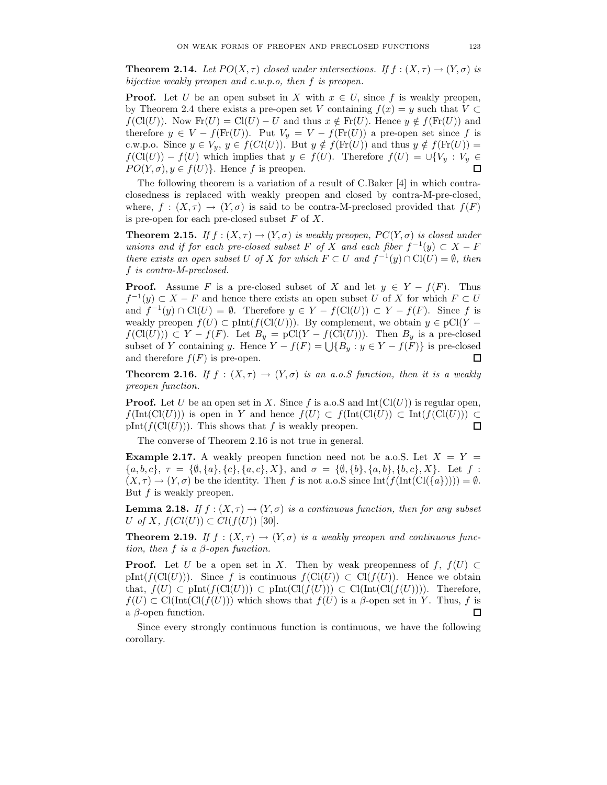**Theorem 2.14.** Let  $PO(X, \tau)$  closed under intersections. If  $f : (X, \tau) \to (Y, \sigma)$  is bijective weakly preopen and c.w.p.o, then f is preopen.

**Proof.** Let U be an open subset in X with  $x \in U$ , since f is weakly preopen, by Theorem 2.4 there exists a pre-open set V containing  $f(x) = y$  such that  $V \subset$  $f(\text{Cl}(U))$ . Now  $\text{Fr}(U) = \text{Cl}(U) - U$  and thus  $x \notin \text{Fr}(U)$ . Hence  $y \notin f(\text{Fr}(U))$  and therefore  $y \in V - f(\text{Fr}(U))$ . Put  $V_y = V - f(\text{Fr}(U))$  a pre-open set since f is c.w.p.o. Since  $y \in V_y$ ,  $y \in f(Cl(U))$ . But  $y \notin f(\text{Fr}(U))$  and thus  $y \notin f(\text{Fr}(U)) =$  $f(\text{Cl}(U)) - f(U)$  which implies that  $y \in f(U)$ . Therefore  $f(U) = \bigcup \{V_y : V_y \in$  $PO(Y, \sigma), y \in f(U)$ . Hence f is preopen.  $\Box$ 

The following theorem is a variation of a result of C.Baker [4] in which contraclosedness is replaced with weakly preopen and closed by contra-M-pre-closed, where,  $f : (X, \tau) \to (Y, \sigma)$  is said to be contra-M-preclosed provided that  $f(F)$ is pre-open for each pre-closed subset  $F$  of  $X$ .

**Theorem 2.15.** If  $f : (X, \tau) \to (Y, \sigma)$  is weakly preopen,  $PC(Y, \sigma)$  is closed under unions and if for each pre-closed subset F of X and each fiber  $f^{-1}(y) \subset X - F$ there exists an open subset U of X for which  $F \subset U$  and  $f^{-1}(y) \cap \text{Cl}(U) = \emptyset$ , then f is contra-M-preclosed.

**Proof.** Assume F is a pre-closed subset of X and let  $y \in Y - f(F)$ . Thus  $f^{-1}(y) \subset X - F$  and hence there exists an open subset U of X for which  $F \subset U$ and  $f^{-1}(y) \cap \mathrm{Cl}(U) = \emptyset$ . Therefore  $y \in Y - f(\mathrm{Cl}(U)) \subset Y - f(F)$ . Since f is weakly preopen  $f(U) \subset \text{plnt}(f(\text{Cl}(U)))$ . By complement, we obtain  $y \in \text{pCl}(Y$  $f(\text{Cl}(U))) \subset Y - f(F)$ . Let  $B_y = p\text{Cl}(Y - f(\text{Cl}(U)))$ . Then  $B_y$  is a pre-closed subset of Y containing y. Hence  $Y - f(F) = \bigcup \{B_y : y \in Y - f(F)\}\$ is pre-closed and therefore  $f(F)$  is pre-open.  $\Box$ 

**Theorem 2.16.** If  $f : (X, \tau) \to (Y, \sigma)$  is an a.o. S function, then it is a weakly preopen function.

**Proof.** Let U be an open set in X. Since f is a.o.S and  $Int(Cl(U))$  is regular open,  $f(\text{Int}(\text{Cl}(U)))$  is open in Y and hence  $f(U) \subset f(\text{Int}(\text{Cl}(U))) \subset \text{Int}(f(\text{Cl}(U))) \subset$  $\text{pInt}(f(\text{Cl}(U)))$ . This shows that f is weakly preopen. ◻

The converse of Theorem 2.16 is not true in general.

**Example 2.17.** A weakly preopen function need not be a.o. S. Let  $X = Y =$  ${a, b, c}, \tau = {\emptyset, {a}, {c}, {a, c}, X}, \text{ and } \sigma = {\emptyset, {b}, {a, b}, {b, c}, X}.$  Let  $f$ :  $(X, \tau) \to (Y, \sigma)$  be the identity. Then f is not a.o.S since Int(f(Int(Cl({a})))) =  $\emptyset$ . But f is weakly preopen.

**Lemma 2.18.** If  $f : (X, \tau) \to (Y, \sigma)$  is a continuous function, then for any subset U of X,  $f(Cl(U)) \subset Cl(f(U))$  [30].

**Theorem 2.19.** If  $f : (X, \tau) \to (Y, \sigma)$  is a weakly preopen and continuous function, then f is a  $\beta$ -open function.

**Proof.** Let U be a open set in X. Then by weak preopenness of f,  $f(U) \subset$ pInt(f(Cl(U))). Since f is continuous  $f(\text{Cl}(U)) \subset \text{Cl}(f(U))$ . Hence we obtain that,  $f(U) \subset \text{plnt}(f(\text{Cl}(U))) \subset \text{plnt}(\text{Cl}(f(U))) \subset \text{Cl}(\text{Int}(\text{Cl}(f(U))))$ . Therefore,  $f(U) \subset \mathrm{Cl}(\mathrm{Int}(\mathrm{Cl}(f(U)))$  which shows that  $f(U)$  is a  $\beta$ -open set in Y. Thus, f is a  $\beta$ -open function. Ω

Since every strongly continuous function is continuous, we have the following corollary.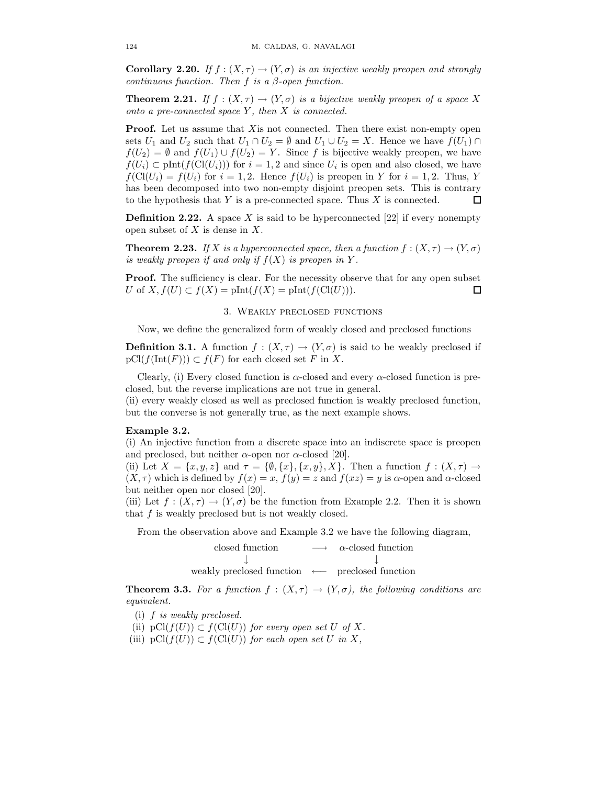Corollary 2.20. If  $f : (X, \tau) \to (Y, \sigma)$  is an injective weakly preopen and strongly continuous function. Then f is a  $\beta$ -open function.

**Theorem 2.21.** If  $f : (X, \tau) \to (Y, \sigma)$  is a bijective weakly preopen of a space X onto a pre-connected space  $Y$ , then  $X$  is connected.

**Proof.** Let us assume that X is not connected. Then there exist non-empty open sets  $U_1$  and  $U_2$  such that  $U_1 \cap U_2 = \emptyset$  and  $U_1 \cup U_2 = X$ . Hence we have  $f(U_1) \cap$  $f(U_2) = \emptyset$  and  $f(U_1) \cup f(U_2) = Y$ . Since f is bijective weakly preopen, we have  $f(U_i) \subset \text{plnt}(f(\text{Cl}(U_i)))$  for  $i = 1, 2$  and since  $U_i$  is open and also closed, we have  $f(\text{Cl}(U_i) = f(U_i)$  for  $i = 1, 2$ . Hence  $f(U_i)$  is preopen in Y for  $i = 1, 2$ . Thus, Y has been decomposed into two non-empty disjoint preopen sets. This is contrary to the hypothesis that  $Y$  is a pre-connected space. Thus  $X$  is connected. П

**Definition 2.22.** A space X is said to be hyperconnected [22] if every nonempty open subset of  $X$  is dense in  $X$ .

**Theorem 2.23.** If X is a hyperconnected space, then a function  $f : (X, \tau) \to (Y, \sigma)$ is weakly preopen if and only if  $f(X)$  is preopen in Y.

**Proof.** The sufficiency is clear. For the necessity observe that for any open subset U of  $X, f(U) \subset f(X) = \text{plnt}(f(X) = \text{plnt}(f(\text{Cl}(U))).$ □

## 3. Weakly preclosed functions

Now, we define the generalized form of weakly closed and preclosed functions

**Definition 3.1.** A function  $f : (X, \tau) \to (Y, \sigma)$  is said to be weakly preclosed if  $pCl(f(\text{Int}(F))) \subset f(F)$  for each closed set F in X.

Clearly, (i) Every closed function is  $\alpha$ -closed and every  $\alpha$ -closed function is preclosed, but the reverse implications are not true in general.

(ii) every weakly closed as well as preclosed function is weakly preclosed function, but the converse is not generally true, as the next example shows.

#### Example 3.2.

(i) An injective function from a discrete space into an indiscrete space is preopen and preclosed, but neither  $\alpha$ -open nor  $\alpha$ -closed [20].

(ii) Let  $X = \{x, y, z\}$  and  $\tau = \{\emptyset, \{x\}, \{x, y\}, X\}$ . Then a function  $f : (X, \tau) \to$  $(X, \tau)$  which is defined by  $f(x) = x$ ,  $f(y) = z$  and  $f(xz) = y$  is  $\alpha$ -open and  $\alpha$ -closed but neither open nor closed [20].

(iii) Let  $f : (X, \tau) \to (Y, \sigma)$  be the function from Example 2.2. Then it is shown that f is weakly preclosed but is not weakly closed.

From the observation above and Example 3.2 we have the following diagram,

| closed function                                               | $\longrightarrow$ | $\alpha$ -closed function |
|---------------------------------------------------------------|-------------------|---------------------------|
|                                                               |                   |                           |
| weakly preclosed function $\longleftarrow$ preclosed function |                   |                           |

**Theorem 3.3.** For a function  $f : (X, \tau) \to (Y, \sigma)$ , the following conditions are equivalent.

- (i) f is weakly preclosed.
- (ii)  $pCl(f(U)) \subset fCl(U)$  for every open set U of X.
- (iii) pCl( $f(U)$ ) ⊂  $f$ (Cl(U)) for each open set U in X,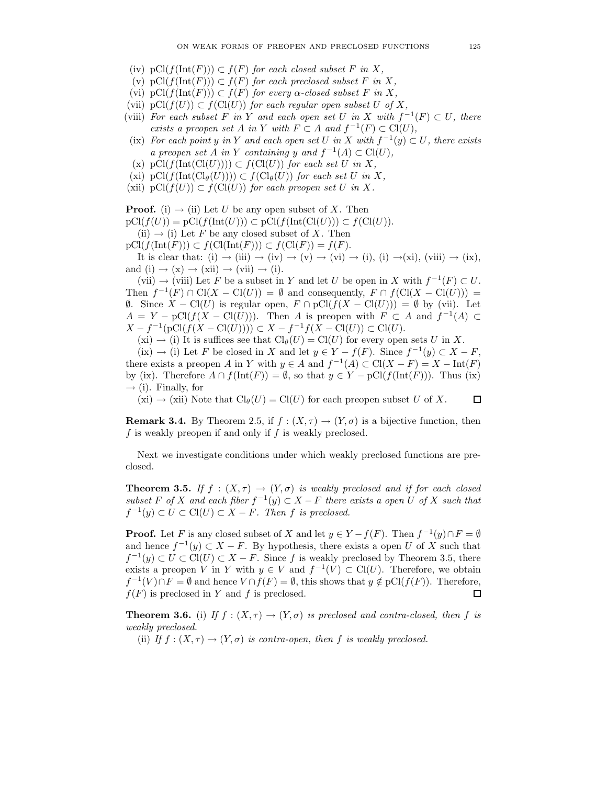- (iv)  $pCl(f(\text{Int}(F))) \subset f(F)$  for each closed subset F in X,
- (v) pCl( $f(\text{Int}(F))$ ) ⊂  $f(F)$  for each preclosed subset F in X,
- (vi) pCl( $f(\text{Int}(F)) \subset f(F)$  for every  $\alpha$ -closed subset F in X,
- (vii)  $pCl(f(U)) \subset f(Cl(U))$  for each regular open subset U of X,
- (viii) For each subset F in Y and each open set U in X with  $f^{-1}(F) \subset U$ , there exists a preopen set A in Y with  $F \subset A$  and  $f^{-1}(F) \subset \text{Cl}(U)$ ,
- (ix) For each point y in Y and each open set U in X with  $f^{-1}(y) \subset U$ , there exists a preopen set  $\overline{A}$  in Y containing y and  $f^{-1}(A) \subset \text{Cl}(U)$ ,
- (x) pCl( $f(\text{Int}(\text{Cl}(U)))) \subset f(\text{Cl}(U))$  for each set U in X,
- (xi) pCl( $f(\text{Int}(\text{Cl}_{\theta}(U)))) \subset f(\text{Cl}_{\theta}(U))$  for each set U in X,
- (xii)  $pCl(f(U)) \subset fCl(U)$  for each preopen set U in X.

**Proof.** (i)  $\rightarrow$  (ii) Let U be any open subset of X. Then  $pCl(f(U)) = pCl(f(\text{Int}(U))) \subset pCl(f(\text{Int}(Cl(U))) \subset f(Cl(U)).$ 

(ii)  $\rightarrow$  (i) Let F be any closed subset of X. Then

 $pCl(f(\text{Int}(F))) \subset f(Cl(\text{Int}(F))) \subset f(Cl(F)) = f(F).$ 

It is clear that: (i)  $\rightarrow$  (iii)  $\rightarrow$  (iv)  $\rightarrow$  (v)  $\rightarrow$  (vi)  $\rightarrow$  (i), (i)  $\rightarrow$  (xi), (viii)  $\rightarrow$  (ix), and (i)  $\rightarrow$  (x)  $\rightarrow$  (xii)  $\rightarrow$  (vii)  $\rightarrow$  (i).

 $(vii) \rightarrow (viii)$  Let F be a subset in Y and let U be open in X with  $f^{-1}(F) \subset U$ . Then  $f^{-1}(F) \cap \text{Cl}(X - \text{Cl}(U)) = \emptyset$  and consequently,  $F \cap f(\text{Cl}(X - \text{Cl}(U))) =$  $\emptyset$ . Since  $X - \text{Cl}(U)$  is regular open,  $F \cap \text{pCl}(f(X - \text{Cl}(U))) = \emptyset$  by (vii). Let  $A = Y - pCl(f(X - Cl(U)))$ . Then A is preopen with  $F \subset A$  and  $f^{-1}(A) \subset$  $X - f^{-1}(\text{pCl}(f(X - \text{Cl}(U)))) \subset X - f^{-1}f(X - \text{Cl}(U)) \subset \text{Cl}(U).$ 

 $(xi) \rightarrow (i)$  It is suffices see that  $Cl_{\theta}(U) = Cl(U)$  for every open sets U in X.

 $(ix) \rightarrow (i)$  Let F be closed in X and let  $y \in Y - f(F)$ . Since  $f^{-1}(y) \subset X - F$ , there exists a preopen A in Y with  $y \in A$  and  $f^{-1}(A) \subset Cl(X - F) = X - Int(F)$ by (ix). Therefore  $A \cap f(\text{Int}(F)) = \emptyset$ , so that  $y \in Y - pCl(f(\text{Int}(F)))$ . Thus (ix)  $\rightarrow$  (i). Finally, for

 $(xi) \rightarrow (xii)$  Note that  $Cl_{\theta}(U) = Cl(U)$  for each preopen subset U of X. 口

**Remark 3.4.** By Theorem 2.5, if  $f : (X, \tau) \to (Y, \sigma)$  is a bijective function, then f is weakly preopen if and only if  $f$  is weakly preclosed.

Next we investigate conditions under which weakly preclosed functions are preclosed.

**Theorem 3.5.** If  $f : (X, \tau) \to (Y, \sigma)$  is weakly preclosed and if for each closed subset F of X and each fiber  $f^{-1}(y) \subset X - F$  there exists a open U of X such that  $f^{-1}(y) \subset U \subset \mathrm{Cl}(U) \subset X-F$ . Then f is preclosed.

**Proof.** Let F is any closed subset of X and let  $y \in Y - f(F)$ . Then  $f^{-1}(y) \cap F = \emptyset$ and hence  $f^{-1}(y) \subset X - F$ . By hypothesis, there exists a open U of X such that  $f^{-1}(y) \subset U \subset \text{Cl}(U) \subset X - F$ . Since f is weakly preclosed by Theorem 3.5, there exists a preopen V in Y with  $y \in V$  and  $f^{-1}(V) \subset Cl(U)$ . Therefore, we obtain  $f^{-1}(V) \cap F = \emptyset$  and hence  $V \cap f(F) = \emptyset$ , this shows that  $y \notin pCl(f(F))$ . Therefore,  $f(F)$  is preclosed in Y and f is preclosed. □

**Theorem 3.6.** (i) If  $f : (X, \tau) \to (Y, \sigma)$  is preclosed and contra-closed, then f is weakly preclosed.

(ii) If  $f: (X, \tau) \to (Y, \sigma)$  is contra-open, then f is weakly preclosed.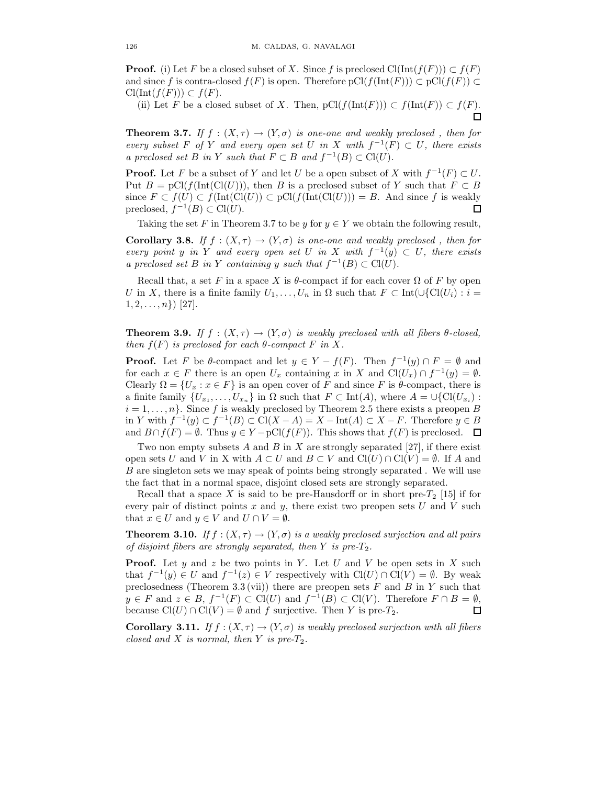**Proof.** (i) Let F be a closed subset of X. Since f is preclosed  $Cl(\text{Int}(f(F))) \subset f(F)$ and since f is contra-closed  $f(F)$  is open. Therefore  $pCl(f(\text{Int}(F))) \subset pCl(f(F)) \subset$  $\mathrm{Cl}(\mathrm{Int}(f(F))) \subset f(F).$ 

(ii) Let F be a closed subset of X. Then,  $pCl(f(\text{Int}(F))) \subset f(\text{Int}(F)) \subset f(F)$ . П

**Theorem 3.7.** If  $f : (X, \tau) \to (Y, \sigma)$  is one-one and weakly preclosed, then for every subset F of Y and every open set U in X with  $f^{-1}(F) \subset U$ , there exists a preclosed set B in Y such that  $F \subset B$  and  $f^{-1}(B) \subset \text{Cl}(U)$ .

**Proof.** Let F be a subset of Y and let U be a open subset of X with  $f^{-1}(F) \subset U$ . Put  $B = \text{pCl}(f(\text{Int}(Cl(U))),$  then B is a preclosed subset of Y such that  $F \subset B$ since  $F \subset f(U) \subset f(\text{Int}(\text{Cl}(U))) \subset \text{pCl}(f(\text{Int}(\text{Cl}(U)))) = B$ . And since f is weakly preclosed,  $f^{-1}(B) \subset \text{Cl}(U)$ .  $\Box$ 

Taking the set F in Theorem 3.7 to be y for  $y \in Y$  we obtain the following result,

**Corollary 3.8.** If  $f : (X, \tau) \to (Y, \sigma)$  is one-one and weakly preclosed, then for every point y in Y and every open set U in X with  $f^{-1}(y) \subset U$ , there exists a preclosed set B in Y containing y such that  $f^{-1}(B) \subset \mathrm{Cl}(U)$ .

Recall that, a set F in a space X is  $\theta$ -compact if for each cover  $\Omega$  of F by open U in X, there is a finite family  $U_1, \ldots, U_n$  in  $\Omega$  such that  $F \subset \text{Int}(\cup \{C_l(U_i) : i =$  $1, 2, \ldots, n$ }) [27].

**Theorem 3.9.** If  $f : (X, \tau) \to (Y, \sigma)$  is weakly preclosed with all fibers  $\theta$ -closed, then  $f(F)$  is preclosed for each  $\theta$ -compact F in X.

**Proof.** Let F be  $\theta$ -compact and let  $y \in Y - f(F)$ . Then  $f^{-1}(y) \cap F = \emptyset$  and for each  $x \in F$  there is an open  $U_x$  containing x in X and  $Cl(U_x) \cap f^{-1}(y) = \emptyset$ . Clearly  $\Omega = \{U_x : x \in F\}$  is an open cover of F and since F is  $\theta$ -compact, there is a finite family  $\{U_{x_1},\ldots,U_{x_n}\}$  in  $\Omega$  such that  $F \subset \text{Int}(A)$ , where  $A = \cup \{\text{Cl}(U_{x_i})$ :  $i = 1, \ldots, n$ . Since f is weakly preclosed by Theorem 2.5 there exists a preopen B in Y with  $f^{-1}(y) \subset f^{-1}(B) \subset \text{Cl}(X-A) = X - \text{Int}(A) \subset X - F$ . Therefore  $y \in B$ and  $B \cap f(F) = \emptyset$ . Thus  $y \in Y - pCl(f(F))$ . This shows that  $f(F)$  is preclosed.  $\Box$ 

Two non empty subsets A and B in X are strongly separated [27], if there exist open sets U and V in X with  $A \subset U$  and  $B \subset V$  and  $Cl(U) \cap Cl(V) = \emptyset$ . If A and B are singleton sets we may speak of points being strongly separated . We will use the fact that in a normal space, disjoint closed sets are strongly separated.

Recall that a space X is said to be pre-Hausdorff or in short pre- $T_2$  [15] if for every pair of distinct points  $x$  and  $y$ , there exist two preopen sets  $U$  and  $V$  such that  $x \in U$  and  $y \in V$  and  $U \cap V = \emptyset$ .

**Theorem 3.10.** If  $f : (X, \tau) \to (Y, \sigma)$  is a weakly preclosed surjection and all pairs of disjoint fibers are strongly separated, then  $Y$  is pre- $T_2$ .

**Proof.** Let y and z be two points in Y. Let U and V be open sets in X such that  $f^{-1}(y) \in U$  and  $f^{-1}(z) \in V$  respectively with  $Cl(U) \cap Cl(V) = \emptyset$ . By weak preclosedness (Theorem 3.3 (vii)) there are preopen sets  $F$  and  $B$  in  $Y$  such that  $y \in F$  and  $z \in B$ ,  $f^{-1}(F) \subset \text{Cl}(U)$  and  $f^{-1}(B) \subset \text{Cl}(V)$ . Therefore  $F \cap B = \emptyset$ , because  $Cl(U) \cap Cl(V) = \emptyset$  and f surjective. Then Y is pre-T<sub>2</sub>.  $\Box$ 

Corollary 3.11. If  $f : (X, \tau) \to (Y, \sigma)$  is weakly preclosed surjection with all fibers closed and X is normal, then Y is pre- $T_2$ .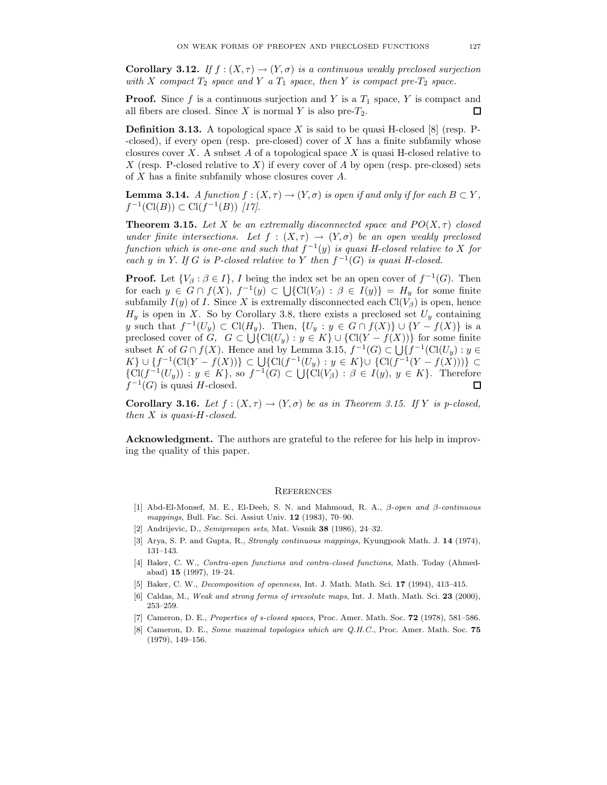**Corollary 3.12.** If  $f : (X, \tau) \to (Y, \sigma)$  is a continuous weakly preclosed surjection with X compact  $T_2$  space and Y a  $T_1$  space, then Y is compact pre- $T_2$  space.

**Proof.** Since f is a continuous surjection and Y is a  $T_1$  space, Y is compact and all fibers are closed. Since X is normal Y is also pre- $T_2$ . 囗

**Definition 3.13.** A topological space X is said to be quasi H-closed  $[8]$  (resp. P- $-\text{closed}$ ), if every open (resp. pre-closed) cover of X has a finite subfamily whose closures cover  $X$ . A subset  $A$  of a topological space  $X$  is quasi H-closed relative to X (resp. P-closed relative to X) if every cover of A by open (resp. pre-closed) sets of X has a finite subfamily whose closures cover A.

**Lemma 3.14.** A function  $f : (X, \tau) \to (Y, \sigma)$  is open if and only if for each  $B \subset Y$ ,  $f^{-1}(\text{Cl}(B)) \subset \text{Cl}(f^{-1}(B))$  [17].

**Theorem 3.15.** Let X be an extremally disconnected space and  $PO(X, \tau)$  closed under finite intersections. Let  $f : (X, \tau) \to (Y, \sigma)$  be an open weakly preclosed function which is one-one and such that  $f^{-1}(y)$  is quasi H-closed relative to X for each y in Y. If G is P-closed relative to Y then  $f^{-1}(G)$  is quasi H-closed.

**Proof.** Let  $\{V_\beta : \beta \in I\}$ , I being the index set be an open cover of  $f^{-1}(G)$ . Then for each  $y \in G \cap f(X)$ ,  $f^{-1}(y) \subset \bigcup \{ \text{Cl}(V_\beta) : \beta \in I(y) \} = H_y$  for some finite subfamily  $I(y)$  of I. Since X is extremally disconnected each  $Cl(V_\beta)$  is open, hence  $H_y$  is open in X. So by Corollary 3.8, there exists a preclosed set  $U_y$  containing y such that  $f^{-1}(U_y) \subset \mathrm{Cl}(H_y)$ . Then,  $\{U_y : y \in G \cap f(X)\} \cup \{Y - f(X)\}\$ is a preclosed cover of  $G, G \subset \bigcup \{Cl(U_y) : y \in K\} \cup \{Cl(Y - f(X))\}$  for some finite subset K of  $G \cap f(X)$ . Hence and by Lemma 3.15,  $f^{-1}(G) \subset \bigcup \{f^{-1}(\text{Cl}(U_y) : y \in$  $K\} \cup \{f^{-1}(\mathrm{Cl}(Y - f(X)))\} \subset \bigcup \{\mathrm{Cl}(f^{-1}(U_y) : y \in K\} \cup \{\mathrm{Cl}(f^{-1}(Y - f(X))))\} \subset$  $\{Cl(f^{-1}(U_y)) : y \in K\}$ , so  $f^{-1}(G) \subset \bigcup \{Cl(V_\beta) : \beta \in I(y), y \in K\}$ . Therefore  $f^{-1}(G)$  is quasi H-closed. 口

**Corollary 3.16.** Let  $f : (X, \tau) \to (Y, \sigma)$  be as in Theorem 3.15. If Y is p-closed, then  $X$  is quasi-H-closed.

Acknowledgment. The authors are grateful to the referee for his help in improving the quality of this paper.

#### **REFERENCES**

- [1] Abd-El-Monsef, M. E., El-Deeb, S. N. and Mahmoud, R. A., β-open and β-continuous mappings, Bull. Fac. Sci. Assiut Univ. 12 (1983), 70–90.
- [2] Andrijevic, D., Semipreopen sets, Mat. Vesnik 38 (1986), 24–32.
- [3] Arya, S. P. and Gupta, R., Strongly continuous mappings, Kyungpook Math. J. 14 (1974), 131–143.
- [4] Baker, C. W., Contra-open functions and contra-closed functions, Math. Today (Ahmedabad) 15 (1997), 19–24.
- [5] Baker, C. W., Decomposition of openness, Int. J. Math. Math. Sci. 17 (1994), 413–415.
- [6] Caldas, M., Weak and strong forms of irresolute maps, Int. J. Math. Math. Sci. 23 (2000), 253–259.
- [7] Cameron, D. E., Properties of s-closed spaces, Proc. Amer. Math. Soc. **72** (1978), 581–586.
- [8] Cameron, D. E., Some maximal topologies which are Q.H.C., Proc. Amer. Math. Soc. 75 (1979), 149–156.